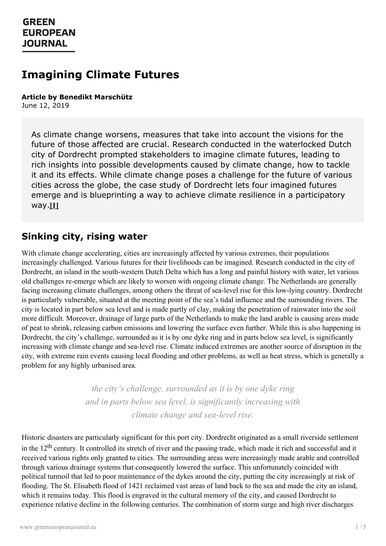# **Imagining Climate Futures**

#### **Article by Benedikt Marschütz** June 12, 2019

As climate change worsens, measures that take into account the visions for the future of those affected are crucial. Research conducted in the waterlocked Dutch city of Dordrecht prompted stakeholders to imagine climate futures, leading to rich insights into possible developments caused by climate change, how to tackle it and its effects. While climate change poses a challenge for the future of various cities across the globe, the case study of Dordrecht lets four imagined futures emerge and is blueprinting a way to achieve climate resilience in a participatory way.**[1]**

#### **Sinking city, rising water**

With climate change accelerating, cities are increasingly affected by various extremes, their populations increasingly challenged. Various futures for their livelihoods can be imagined. Research conducted in the city of Dordrecht, an island in the south-western Dutch Delta which has a long and painful history with water, let various old challenges re-emerge which are likely to worsen with ongoing climate change. The Netherlands are generally facing increasing climate challenges, among others the threat of sea-level rise for this low-lying country. Dordrecht is particularly vulnerable, situated at the meeting point of the sea's tidal influence and the surrounding rivers. The city is located in part below sea level and is made partly of clay, making the penetration of rainwater into the soil more difficult. Moreover, drainage of large parts of the Netherlands to make the land arable is causing areas made of peat to shrink, releasing carbon emissions and lowering the surface even further. While this is also happening in Dordrecht, the city's challenge, surrounded as it is by one dyke ring and in parts below sea level, is significantly increasing with climate change and sea-level rise. Climate induced extremes are another source of disruption in the city, with extreme rain events causing local flooding and other problems, as well as heat stress, which is generally a problem for any highly urbanised area.

> *the city's challenge, surrounded as it is by one dyke ring and in parts below sea level, is significantly increasing with climate change and sea-level rise.*

Historic disasters are particularly significant for this port city. Dordrecht originated as a small riverside settlement in the  $12<sup>th</sup>$  century. It controlled its stretch of river and the passing trade, which made it rich and successful and it [received](https://www.greeneuropeanjournal.eu) various rights only granted to cities. The surrounding areas were increasingly made arable and controlled through various drainage systems that consequently lowered the surface. This unfortunately coincided with political turmoil that led to poor maintenance of the dykes around the city, putting the city increasingly at risk of flooding. The St. Elisabeth flood of 1421 reclaimed vast areas of land back to the sea and made the city an island, which it remains today. This flood is engraved in the cultural memory of the city, and caused Dordrecht to experience relative decline in the following centuries. The combination of storm surge and high river discharges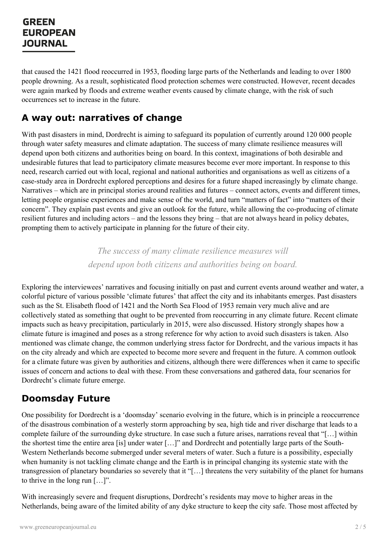that caused the 1421 flood reoccurred in 1953, flooding large parts of the Netherlands and leading to over 1800 people drowning. As a result, sophisticated flood protection schemes were constructed. However, recent decades were again marked by floods and extreme weather events caused by climate change, with the risk of such occurrences set to increase in the future.

#### **A way out: narratives of change**

With past disasters in mind, Dordrecht is aiming to safeguard its population of currently around 120 000 people through water safety measures and climate adaptation. The success of many climate resilience measures will depend upon both citizens and authorities being on board. In this context, imaginations of both desirable and undesirable futures that lead to participatory climate measures become ever more important. In response to this need, research carried out with local, regional and national authorities and organisations as well as citizens of a case-study area in Dordrecht explored perceptions and desires for a future shaped increasingly by climate change. Narratives – which are in principal stories around realities and futures – connect actors, events and different times, letting people organise experiences and make sense of the world, and turn "matters of fact" into "matters of their concern". They explain past events and give an outlook for the future, while allowing the co-producing of climate resilient futures and including actors – and the lessons they bring – that are not always heard in policy debates, prompting them to actively participate in planning for the future of their city.

> *The success of many climate resilience measures will depend upon both citizens and authorities being on board.*

Exploring the interviewees' narratives and focusing initially on past and current events around weather and water, a colorful picture of various possible 'climate futures' that affect the city and its inhabitants emerges. Past disasters such as the St. Elisabeth flood of 1421 and the North Sea Flood of 1953 remain very much alive and are collectively stated as something that ought to be prevented from reoccurring in any climate future. Recent climate impacts such as heavy precipitation, particularly in 2015, were also discussed. History strongly shapes how a climate future is imagined and poses as a strong reference for why action to avoid such disasters is taken. Also mentioned was climate change, the common underlying stress factor for Dordrecht, and the various impacts it has on the city already and which are expected to become more severe and frequent in the future. A common outlook for a climate future was given by authorities and citizens, although there were differences when it came to specific issues of concern and actions to deal with these. From these conversations and gathered data, four scenarios for Dordrecht's climate future emerge.

#### **Doomsday Future**

One possibility for Dordrecht is a 'doomsday' scenario evolving in the future, which is in principle a reoccurrence of the disastrous combination of a westerly storm approaching by sea, high tide and river discharge that leads to a complete failure of the surrounding dyke structure. In case such a future arises, narrations reveal that "[…] within the shortest time the entire area [is] under water […]" and Dordrecht and potentially large parts of the South-Western Netherlands become submerged under several meters of water. Such a future is a possibility, especially when [humanity](https://www.greeneuropeanjournal.eu) is not tackling climate change and the Earth is in principal changing its systemic state with the transgression of planetary boundaries so severely that it "[…] threatens the very suitability of the planet for humans to thrive in the long run […]".

With increasingly severe and frequent disruptions, Dordrecht's residents may move to higher areas in the Netherlands, being aware of the limited ability of any dyke structure to keep the city safe. Those most affected by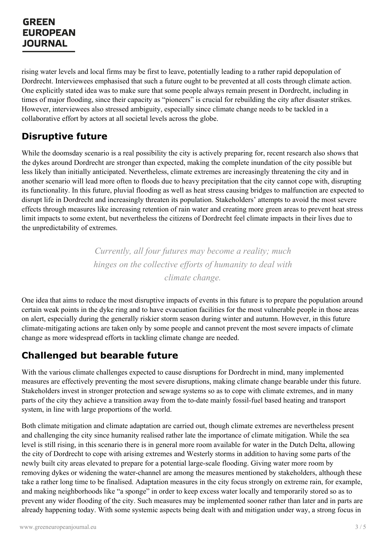rising water levels and local firms may be first to leave, potentially leading to a rather rapid depopulation of Dordrecht. Interviewees emphasised that such a future ought to be prevented at all costs through climate action. One explicitly stated idea was to make sure that some people always remain present in Dordrecht, including in times of major flooding, since their capacity as "pioneers" is crucial for rebuilding the city after disaster strikes. However, interviewees also stressed ambiguity, especially since climate change needs to be tackled in a collaborative effort by actors at all societal levels across the globe.

#### **Disruptive future**

While the doomsday scenario is a real possibility the city is actively preparing for, recent research also shows that the dykes around Dordrecht are stronger than expected, making the complete inundation of the city possible but less likely than initially anticipated. Nevertheless, climate extremes are increasingly threatening the city and in another scenario will lead more often to floods due to heavy precipitation that the city cannot cope with, disrupting its functionality. In this future, pluvial flooding as well as heat stress causing bridges to malfunction are expected to disrupt life in Dordrecht and increasingly threaten its population. Stakeholders' attempts to avoid the most severe effects through measures like increasing retention of rain water and creating more green areas to prevent heat stress limit impacts to some extent, but nevertheless the citizens of Dordrecht feel climate impacts in their lives due to the unpredictability of extremes.

> *Currently, all four futures may become a reality; much hinges on the collective ef orts of humanity to deal with climate change.*

One idea that aims to reduce the most disruptive impacts of events in this future is to prepare the population around certain weak points in the dyke ring and to have evacuation facilities for the most vulnerable people in those areas on alert, especially during the generally riskier storm season during winter and autumn. However, in this future climate-mitigating actions are taken only by some people and cannot prevent the most severe impacts of climate change as more widespread efforts in tackling climate change are needed.

## **Challenged but bearable future**

With the various climate challenges expected to cause disruptions for Dordrecht in mind, many implemented measures are effectively preventing the most severe disruptions, making climate change bearable under this future. Stakeholders invest in stronger protection and sewage systems so as to cope with climate extremes, and in many parts of the city they achieve a transition away from the to-date mainly fossil-fuel based heating and transport system, in line with large proportions of the world.

Both climate mitigation and climate adaptation are carried out, though climate extremes are nevertheless present and challenging the city since humanity realised rather late the importance of climate mitigation. While the sea level is still rising, in this scenario there is in general more room available for water in the Dutch Delta, allowing the city of [Dordrecht](https://www.greeneuropeanjournal.eu) to cope with arising extremes and Westerly storms in addition to having some parts of the newly built city areas elevated to prepare for a potential large-scale flooding. Giving water more room by removing dykes or widening the water-channel are among the measures mentioned by stakeholders, although these take a rather long time to be finalised. Adaptation measures in the city focus strongly on extreme rain, for example, and making neighborhoods like "a sponge" in order to keep excess water locally and temporarily stored so as to prevent any wider flooding of the city. Such measures may be implemented sooner rather than later and in parts are already happening today. With some systemic aspects being dealt with and mitigation under way, a strong focus in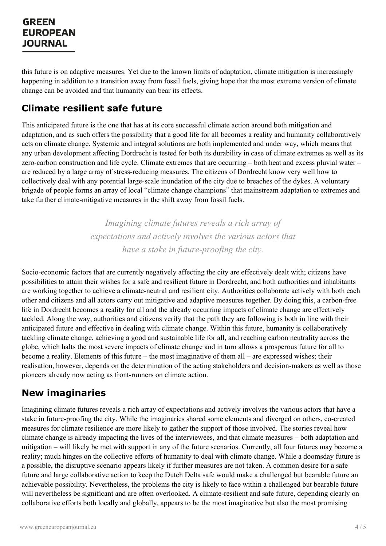this future is on adaptive measures. Yet due to the known limits of adaptation, climate mitigation is increasingly happening in addition to a transition away from fossil fuels, giving hope that the most extreme version of climate change can be avoided and that humanity can bear its effects.

#### **Climate resilient safe future**

This anticipated future is the one that has at its core successful climate action around both mitigation and adaptation, and as such offers the possibility that a good life for all becomes a reality and humanity collaboratively acts on climate change. Systemic and integral solutions are both implemented and under way, which means that any urban development affecting Dordrecht is tested for both its durability in case of climate extremes as well as its zero-carbon construction and life cycle. Climate extremes that are occurring – both heat and excess pluvial water – are reduced by a large array of stress-reducing measures. The citizens of Dordrecht know very well how to collectively deal with any potential large-scale inundation of the city due to breaches of the dykes. A voluntary brigade of people forms an array of local "climate change champions" that mainstream adaptation to extremes and take further climate-mitigative measures in the shift away from fossil fuels.

> *Imagining climate futures reveals a rich array of expectations and actively involves the various actors that have a stake in future-proofing the city.*

Socio-economic factors that are currently negatively affecting the city are effectively dealt with; citizens have possibilities to attain their wishes for a safe and resilient future in Dordrecht, and both authorities and inhabitants are working together to achieve a climate-neutral and resilient city. Authorities collaborate actively with both each other and citizens and all actors carry out mitigative and adaptive measures together. By doing this, a carbon-free life in Dordrecht becomes a reality for all and the already occurring impacts of climate change are effectively tackled. Along the way, authorities and citizens verify that the path they are following is both in line with their anticipated future and effective in dealing with climate change. Within this future, humanity is collaboratively tackling climate change, achieving a good and sustainable life for all, and reaching carbon neutrality across the globe, which halts the most severe impacts of climate change and in turn allows a prosperous future for all to become a reality. Elements of this future – the most imaginative of them all – are expressed wishes; their realisation, however, depends on the determination of the acting stakeholders and decision-makers as well as those pioneers already now acting as front-runners on climate action.

#### **New imaginaries**

Imagining climate futures reveals a rich array of expectations and actively involves the various actors that have a stake in future-proofing the city. While the imaginaries shared some elements and diverged on others, co-created measures for climate resilience are more likely to gather the support of those involved. The stories reveal how climate change is already impacting the lives of the interviewees, and that climate measures – both adaptation and mitigation – will likely be met with support in any of the future scenarios. Currently, all four futures may become a [reality;](https://www.greeneuropeanjournal.eu) much hinges on the collective efforts of humanity to deal with climate change. While a doomsday future is a possible, the disruptive scenario appears likely if further measures are not taken. A common desire for a safe future and large collaborative action to keep the Dutch Delta safe would make a challenged but bearable future an achievable possibility. Nevertheless, the problems the city is likely to face within a challenged but bearable future will nevertheless be significant and are often overlooked. A climate-resilient and safe future, depending clearly on collaborative efforts both locally and globally, appears to be the most imaginative but also the most promising